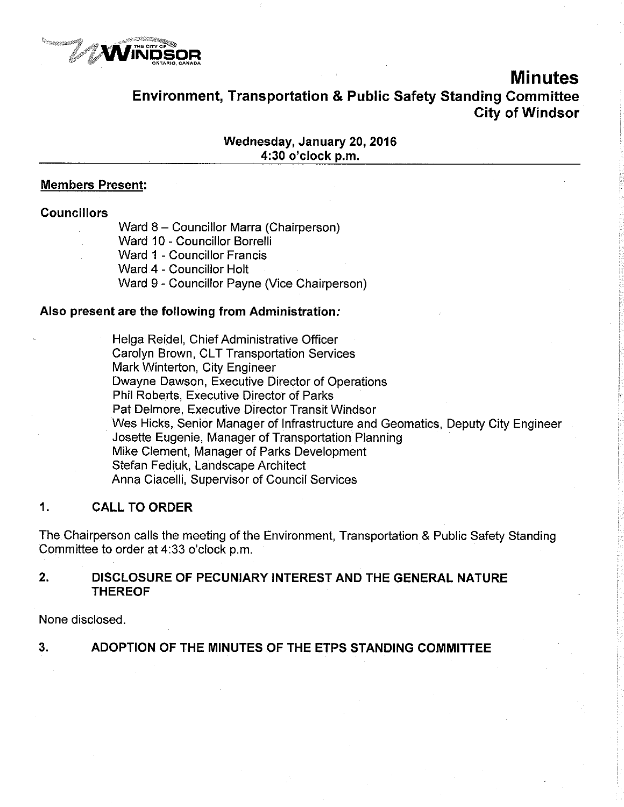

# **Minutes**

Environment, Transportation & Public Safety Standing Gommittee City of Windsor

### Wednesday, January 20, 2016 4:30 o'clock p,m.

#### Members Present:

#### **Councillors**

Ward 8 - Councillor Marra (Chairperson)

Ward 10 - Councillor Borrelli

Ward 1 - Councillor Francis

Ward 4 - Councillor Holt

Ward 9 - Councillor Payne (Vice Chairperson)

#### Also present are the following from Administration.'

Helga Reidel, Chief Administrative Officer Carolyn Brown, CLT Transportation Services Mark Winterton, City Engineer Dwayne Dawson, Executive Director of Operations Phil Roberts, Executive Director of Parks Pat Delmore, Executive Director Transit Windsor Wes Hicks, Senior Manager of lnfrastructure and Geomatics, Deputy City Engineer Josette Eugenie, Manager of Transportation Planning Mike Clement, Manager of Parks Development Stefan Fediuk, Landscape Architect Anna Ciacelli, Supervisor of Council Services

# 1, CALL TO ORDER

The Chairperson calls the meeting of the Environment, Transportation & Public Safety Standing Committee to order at 4:33 o'clock p.m.

## 2. DISCLOSURE OF PECUNIARY INTEREST AND THE GENERAL NATURE THEREOF

None disclosed.

# 3. ADOPTION OF THE MINUTES OF THE ETPS STANDING COMMITTEE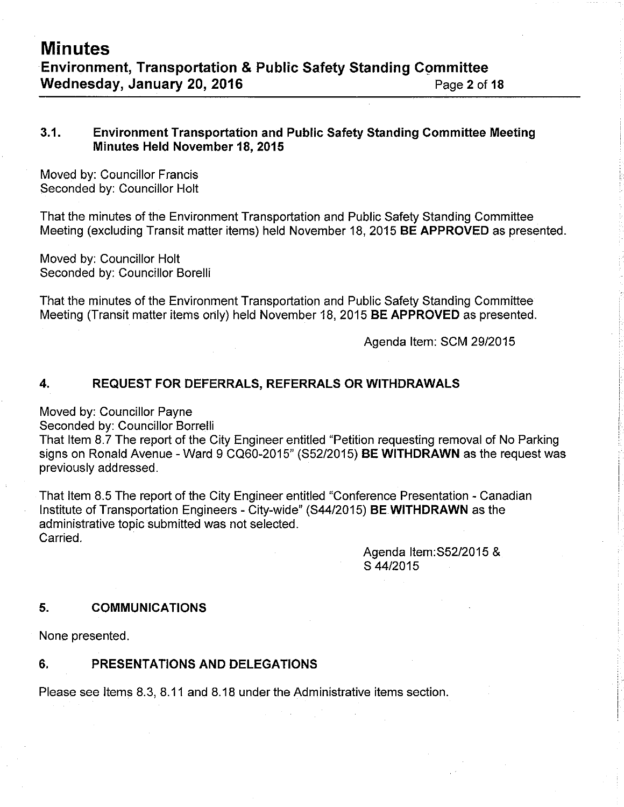# 3.1. Environment Transportation and Public Safety Standing Committee Meeting Minutes Held November 18,2015

Moved by: Councillor Francis Seconded by: Councillor Holt

That the minutes of the Environment Transportation and Public Safety Standing Committee Meeting (excluding Transit matter items) held November 18,2015 BE APPROVED as presented.

Moved by: Councillor Holt Seconded by: Councillor Borelli

That the minutes of the Environment Transportation and Public Safety Standing Committee Meeting (Transit matter items only) held November 18,2015 BE APPROVED as presented.

Agenda Item: SCM 29/2015

# 4, REQUEST FOR DEFERRALS, REFERRALS ORWITHDRAWALS

Moved by: Councillor Payne

Seconded by: Councillor Borrelli

That ltem 8.7 The report of the City Engineer entitled "Petition requesting removal of No Parking signs on Ronald Avenue - Ward 9 CQ60-2015" (S52/2015) **BE WITHDRAWN** as the request was previously addressed.

That Item 8.5 The report of the City Engineer entitled "Conference Presentation - Canadian Institute of Transportation Engineers - City-wide" (54412015) BE WITHDRAWN as the administrative topic submitted was not selected. Carried.

> Agenda ltem:552/2015 & s 44/2015

# 5. COMMUNICATIONS

None presented.

# 6, PRESENTATIONS AND DELEGATIONS

Please see Items 8.3, 8.11 and 8.18 under the Administrative items section.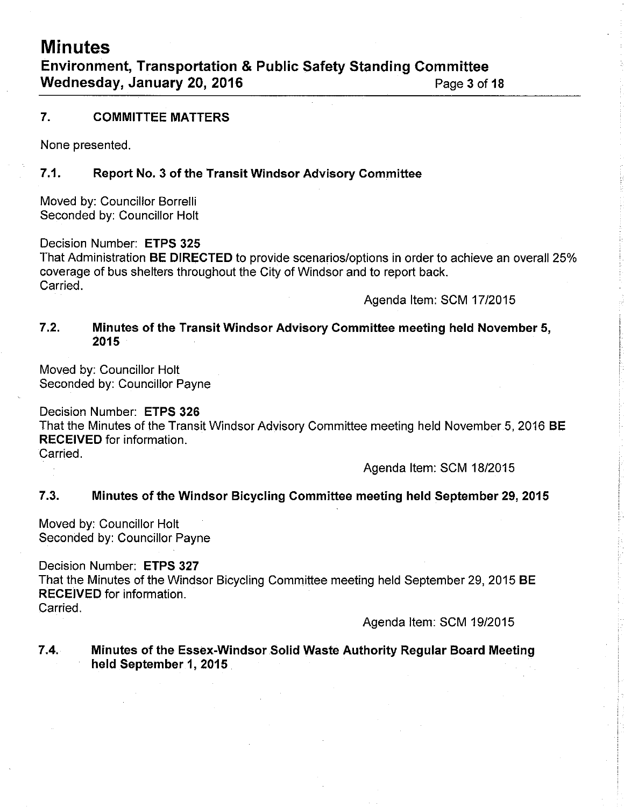# 7, COMMITTEE MATTERS

None presented.

# 7.1. Report No. 3 of the Transit Windsor Advisory Committee

Moved by: Councillor Borrelli Seconded by: Councillor Holt

Decision Number: ETPS 325 That Administration **BE DIRECTED** to provide scenarios/options in order to achieve an overall 25% coverage of bus shelters throughout the City of Windsor and to report back. Carried.

Agenda ltem: SCM 1712015

## 7.2. Minutes of the Transit Windsor Advisory Committee meeting held November 5, 2015

Moved by: Councillor Holt Seconded by: Councillor Payne

Decision Number: ETPS 326 That the Minutes of the Transit Windsor Advisory Committee meeting held November 5, 2016 BE RECEIVED for information. Carried.

Agenda Item: SCM 18/2015

# 7.3. Minutes of the Windsor Bicycling Gommittee meetíng held September 29, <sup>2015</sup>

Moved by: Councillor Holt Seconded by: Councillor Payne

Decision Number: ETPS 327 That the Minutes of the Windsor Bicycling Committee meeting held September 29, 2015 BE RECEIVED for informaiion. Carried.

Agenda Item: SCM 19/2015

7.4. Minutes of the Essex-Windsor Solid Waste Authority Regular Board Meeting held September 1, 2015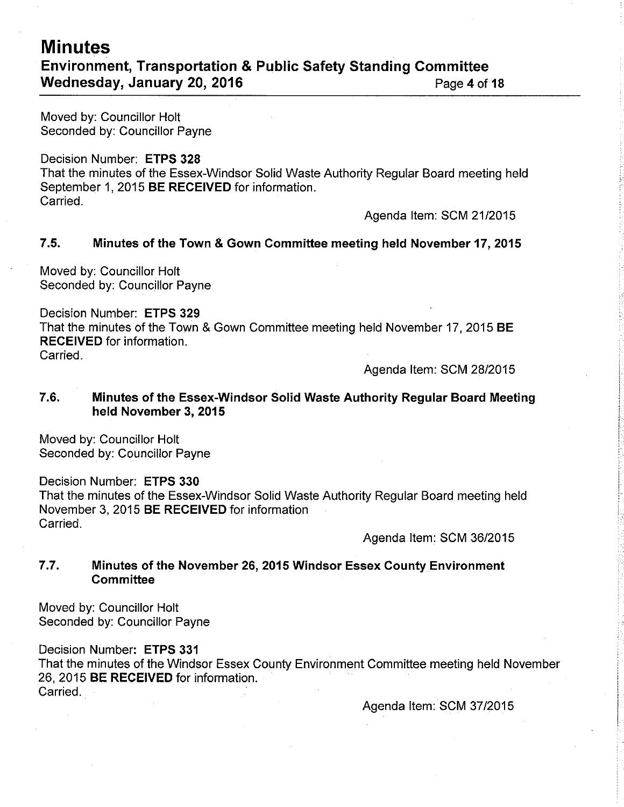# **Minutes** Environment, Transportation & Public Safety Standing Gommittee Wednesday, January 20, 2016 **Page 4 of 18** Page 4 of 18

Moved by: Councillor Holt Seconded by: Councillor Payne

Decision Number: ETPS 328 That the minutes of the Essex-Windsor Solid Waste Authority Regular Board meeting held September 1, 2015 BE RECEIVED for information. Carried.

Agenda Item: SCM 21/2015

## 7.5. Minutes of the Town & Gown Committee meeting held November 17, 2015

Moved by: Councillor Holt Seconded by: Councillor Payne

Decision Number: ETPS 329 That the minutes of the Town & Gown Committee meeting held November 17, 2015 BE RECEIVED for information. Carried.

Agenda Item: SCM 28/2015

# 7.6. Minutes of the Essex-Windsor Solid Waste Authority Regular Board Meeting held November 3, 2015

Moved by: Councillor Holt Seconded by: Councillor Payne

Decision Number: ETPS 330 That the minutes of the Essex-Windsor Solid Waste Authority Regular Board meeting held November 3,2015 BE RECEIVED for information Carried.

Agenda Item: SCM 36/2015

# <sup>7</sup>.7 . Minutes of the November 26, 2015 Windsor Essex County Environment **Committee**

Moved by: Councillor Holt Seconded by: Councillor Payne

Decision Number: ETPS 331 That the minutes of the Windsor Essex County Environment Commiftee meeting held November 26,2015 BE RECEIVED for information. Carried.

Agenda ltem: SCM 3712015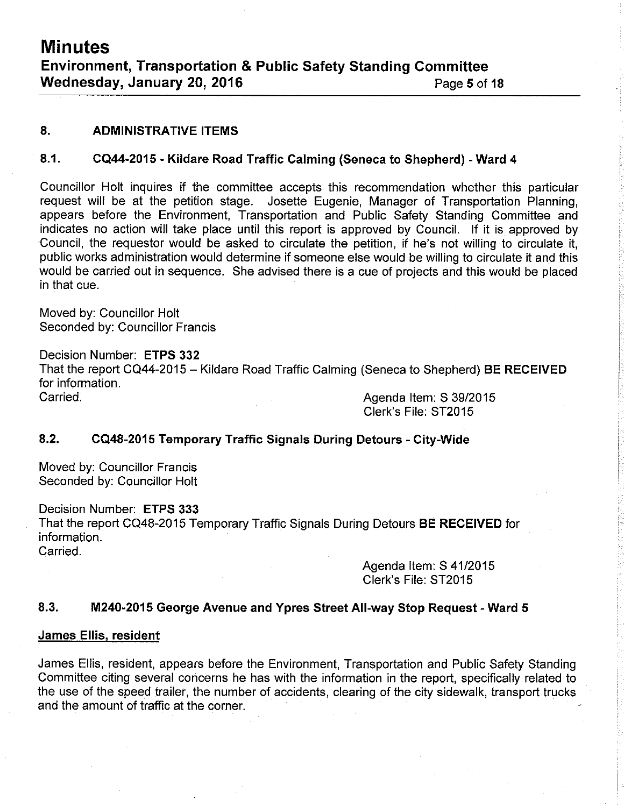**Minutes** Environment, Transportation & Public Safety Standing Committee Wednesday, January 20, 2016 **Page 18** Page 5 of 18

#### 8. ADMINISTRATIVE ITEMS

#### 8.1. CQ44-2015 - Kildare Road Traffic Calming (Seneca to Shepherd) - Ward <sup>4</sup>

Councillor Holt inquires if the committee accepts this recommendation whether this particular request will be at the petition stage. Josette Eugenie, Manager of Transportation Planning, appears before the Environment, Transportation and Public Safety Standing Committee and indicates no action will take place until this report is approved by Council. lf it is approved by Council, the requestor would be asked to circulate the petition, if he's not willing to circulate it, public works administration would determine if someone else would be willing to circulate it and this would be carried out in sequence. She advised there is a cue of projects and this would be placed in that cue.

Moved by: Councillor Holt Seconded by: Councillor Francis

Decision Number: ETPS 332 That the report CQ44-2015 - Kildare Road Traffic Calming (Seneca to Shepherd) BE RECEIVED for information. for information. Canied. Agenda ltem: S 39/2015

Clerk's File: ST20l5

#### 8.2. CQ48-2015 Temporary Traffic Signals During Detours - City-Wide

Moved by: Councillor Francis Seconded by: Councillor Holt

Decision Number: ETPS 333 That the report CQ48-2015 Temporary Traffic Signals During Detours BE RECEIVED for information. Carried.

> Agenda Item: S 41/2015 Clerk's File: ST2015

# 8.3. M24O-2015 George Avenue and Ypres Street All-way Stop Request - Ward <sup>5</sup>

#### James Ellís. resident

James Ellis, resident, appears before the Environment, Transportation and Public Safety Standing Committee citing several concerns he has with the information in the report, specifically related to the use of the speed trailer, the number of accidents, clearing of the city sidewalk, transport trucks and the amount of traffic at the corner.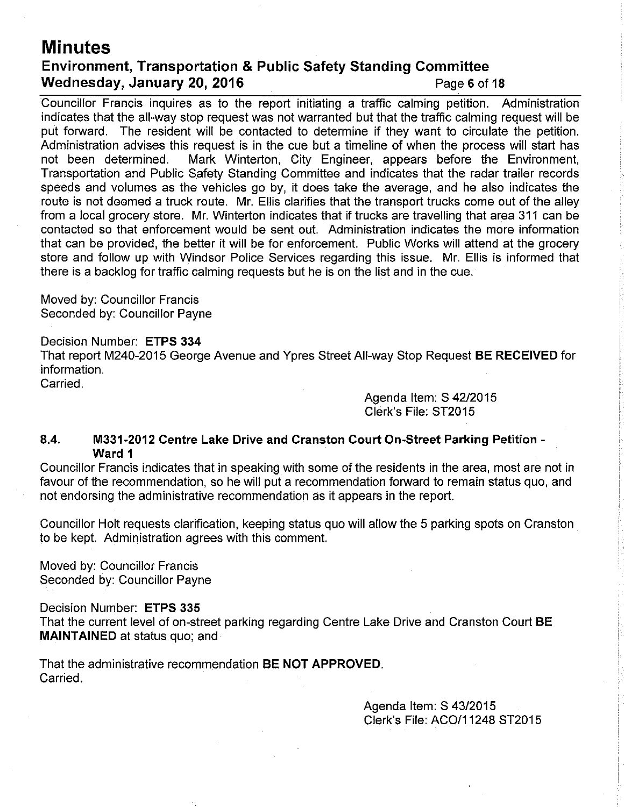# Minutes Environment, Transportation & Public Safety Standing Committee Wednesday, January 20, 2016 **Page 6 of 18**

Councillor Francis inquires as to the report initiating a traffic calming petition. Administration indicates that the all-way stop request was not warranted but that the traffic calming request will be put forward. The resident will be contacted to determine if they want to circulate the petition. Administration advises this request is in the cue but a timeline of when the process will start has not been determined. Mark Winterton, City Engineer, appears before the Environment, Transportation and Public Safety Standing Committee and indicates that the radar trailer records speeds and volumes as the vehicles go by, it does take the average, and he also indicates the route is not deemed a truck route. Mr. Ellis clarifies that the transport trucks come out of the alley from a local grocery store. Mr. Winterton indicates that if trucks are travelling that area 311 can be contacted so that enforcement would be sent out. Administration indicates the more information that can be provided, the better it will be for enforcement. Public Works will attend at the grocery store and follow up with Windsor Police Services regarding this issue. Mr. Ellis is informed that there is a backlog for traffic calming requests but he is on the list and in the cue.

Moved by: Councillor Francis Seconded by: Councillor Payne

Decision Number: ETPS 334 That report M240-2015 George Avenue and Ypres Street All-way Stop Request BE RECEIVED for information. Carried.

> Agenda Item: S 42/2015 Clerk's File: ST2015

# 8,4, M331-2012 Gentre Lake Drive and Cranston Court On-Street Parking Petition - Ward <sup>1</sup>

Councillor Francis indicates that in speaking with some of the residents in the area, most are not in favour of the recommendation, so he will put a recommendation forward to remain status quo, and not endorsing the administrative recommendation as it appears in the report.

Councillor Holt requests clarification, keeping status quo will allow the 5 parking spots on Cranston to be kept. Administration agrees with this comment.

Moved by: Councillor Francis Seconded by: Councillor Payne

Decision Number: ETPS 335

That the current level of on-street parking regarding Centre Lake Drive and Cranston Court **BE** MAINTAINED at status quo; and

That the administrative recommendation BE NOT APPROVED. Carried.

> Agenda ltem: S 4312015 Clerk's File: ACO|11248 ST2015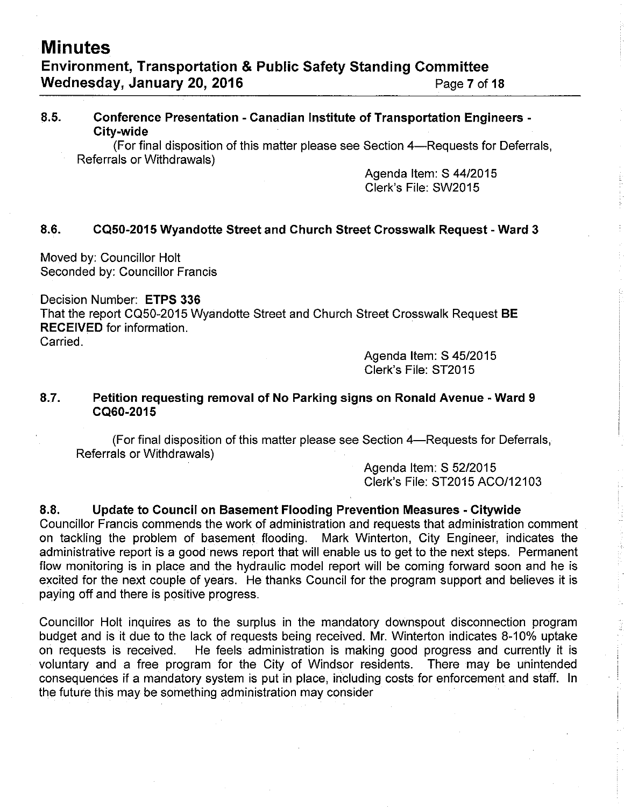# 8.5. Conference Presentation - Ganadian lnstitute of Transportation Engineers - City-wide

(For final disposition of this matter please see Section 4-Requests for Deferrals, Referrals or Withdrawals)

> Agenda ltem: S 4412015 Clerk's File: SW2015

# 8.6. CQ50-2015 Wyandotte Street and Church Street Crosswalk Request - Ward <sup>3</sup>

Moved by: Councillor Holt Seconded by: Councillor Francis

Decision Number: ETPS 336

That the report CQ50-2015 Wyandotte Street and Church Street Crosswalk Request BE RECEIVED for information. Carried.

> Agenda ltem: S 45/2015 Clerk's File: ST2015

# 8.7. Petition requesting removal of No Parking signs on Ronald Avenue - Ward <sup>9</sup> cQ60-2015

(For final disposition of this matter please see Section 4-Requests for Deferrals, Referrals or Withdrawals)

> Agenda ltem: S 5212015 Clerk's File: ST2015 ACO|12103

# 8.8. Update to Council on Basement Flooding Prevention Measures - Citywide

Councillor Francis commends the work of administration and requests that administration comment on tackling the problem of basement flooding. Mark Winterton, City Engineer, indicates the administrative report is a good news report that will enable us to get to the next steps. Permanent flow monitoring is in place and the hydraulic model report will be coming forward soon and he is excited for the next couple of years. He thanks Council for the program support and believes it is paying off and there is positive progress.

Councillor Holt inquires as to the surplus in the mandatory downspout disconnection program budget and is it due to the lack of requests being received. Mr. Winterton indicates 8-10% uptake on requests is received. He feels administration is making good progress and currently it is voluntary and a free program for the City of Windsor residents. There may be unintended consequences if a mandatory system is put in place, including costs for enforcement and staff. ln the future this may be something administration may consider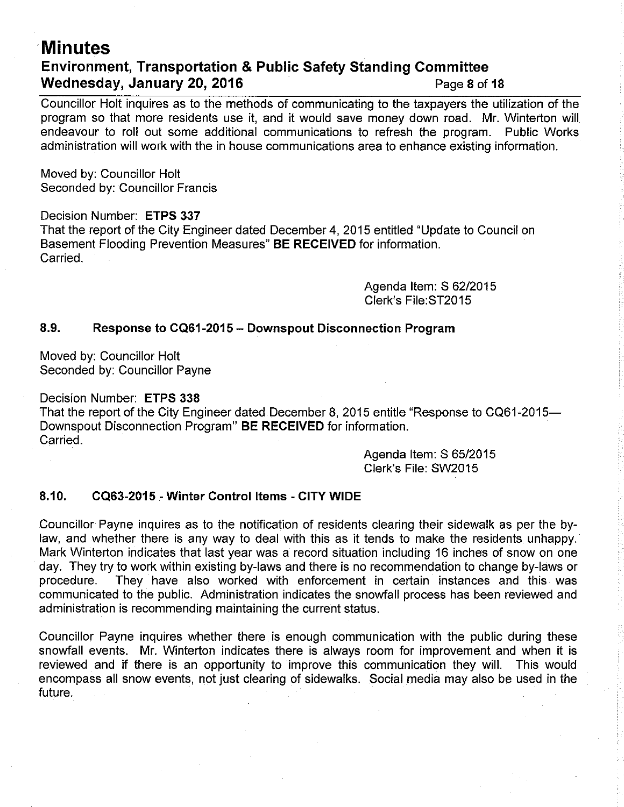# **Minutes** Environment, Transportation & Public Safety Standing Committee Wednesday, January 20, 2016 **Page 8 of 18** Page 8 of 18

Councillor Holt inquires as to the methods of communicating to the taxpayers the utilization of the program so that more residents use it, and it would save money down road. Mr. Winterton will endeavour to roll out some additional communications to refresh the program. Public Works administration will work with the in house communications area to enhance existing information.

Moved by: Councillor Holt Seconded by: Councillor Francis

Decision Number: ETPS 337

That the report of the City Engineer dated December 4,2015 entitled "Update to Council on Basement Flooding Prevention Measures" BE RECEIVED for information. Carried.

> Agenda ltem: S 6212015 Clerk's File:ST2015

### 8.9. Response to CQ61-2015 - Downspout Disconnection Program

Moved by: Councillor Holt Seconded by: Councillor Payne

Decision Number: ETPS 338

That the report of the City Engineer dated December 8, 2015 entitle "Response to CQ61-2015-Downspout Disconnection Program" BE RECEIVED for information. Carried.

Agenda ltem: S 65/2015 Clerk's File: SW2015

## 8.10. CQ63-2015 - Winter Control ltems - CITY WIDE

Councillor Payne inquires as to the notification of residents clearing their sidewalk as per the bylaw, and whether there is any way to deal with this as it tends to make the residents unhappy. Mark Winterton indicates that last year was a record situation including 16 inches of snow on one day. They try to work within existing by-laws and there is no recommendation to change by-laws or procedure. They have also worked with enforcement in certain instances and this was communicated to the public. Administration indicates the snowfall process has been reviewed and admínistration is recommending maintaining the current status.

Councillor Payne inquires whether there is enough communication with the public during these snowfall events. Mr. Winterton indicates there is always room for improvement and when it is reviewed and if there is an opportunity to improve this communication they will. This would encompass all snow events, not just clearing of sidewalks. Social media may also be used in the future.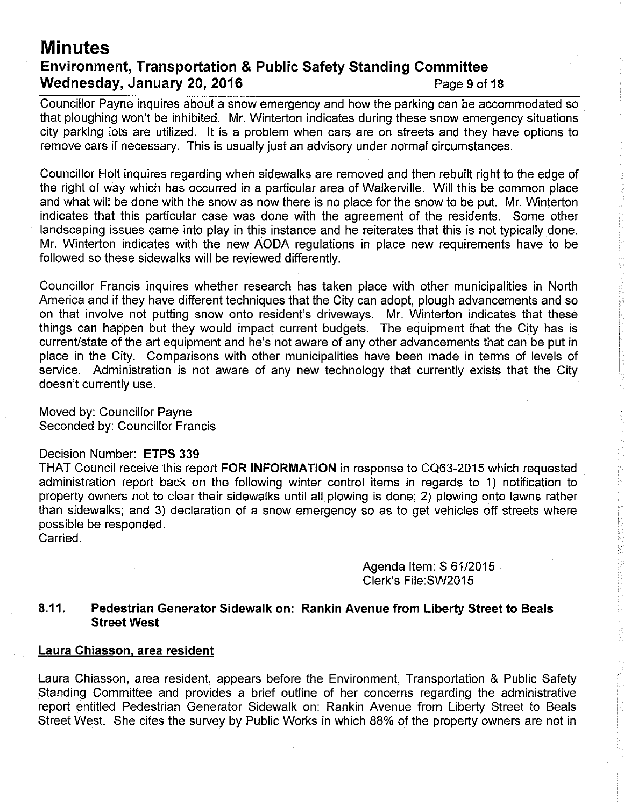# **Minutes** Environment, Transportation & Public Safety Standing Gommittee Wednesday, January 20, 2016 **Page 9 of 18** Page 9 of 18

Councillor Payne inquires about a snow emergency and how the parking can be accommodated so that ploughing won't be inhibited. Mr. Winterton indicates during these snow emergency situations city parking lots are utilized. lt is a problem when cars are on streets and they have options to remove cars if necessary. This is usually just an advisory under normal circumstances.

Councillor Holt inquires regarding when sidewalks are removed and then rebuilt right to the edge of the right of way which has occurred in a particular area of Walkerville. Will this be common place and what will be done with the snow as now there is no place for the snow to be put. Mr. Winterton indicates that this particular case was done with the agreement of the residents. Some other landscaping issues came into play in this instance and he reiterates that this is not typically done. Mr. Winterton indicates with the new AODA regulations in place new requirements have to be followed so these sidewalks will be reviewed differently.

Councillor Francis inquires whether research has taken place with other municipalities in North America and if they have different techniques that the City can adopt, plough advancements and so on that involve not putting snow onto resident's driveways. Mr. Winterton indicates that these things can happen but they would impact current budgets. The equipment that the City has is current/state of the art equipment and he's not aware of any other advancements that can be put in place in the City. Comparisons with other municipalities have been made in terms of levels of service. Administration is not aware of any new technology that currently exists that the Ciiy doesn't currently use.

Moved by: Councillor Payne Seconded by: Councillor Francis

#### Decision Number: ETPS 339

THAT Council receive this report FOR INFORMATION in response to CQ63-2015 which requested administration report back on the following winter control items in regards to 1) notification to property owners not to clear their sidewalks until all plowing is done; 2) plowing onto lawns rather than sidewalks; and 3) declaration of a snow emergency so as to get vehicles off streets where possible be responded. Carried.

> Agenda ltem: S 6112015 Clerk's File:SW2015

# 8.11. Pedestrian Generator Sidewalk on: Rankin Avenue from Liberty Street to Beals Street West

#### Laura Chiasson. area resident

Laura Chiasson, area resident, appears before the Environment, Transportation & Public Safety Standing Committee and provides a brief outline of her concerns regarding the administrative report entitled Pedestrian Generator Sidewalk on: Rankin Avenue from Liberty Street to Beals Street West. She cites the survey by Public Works in which 88% of the property owners are not in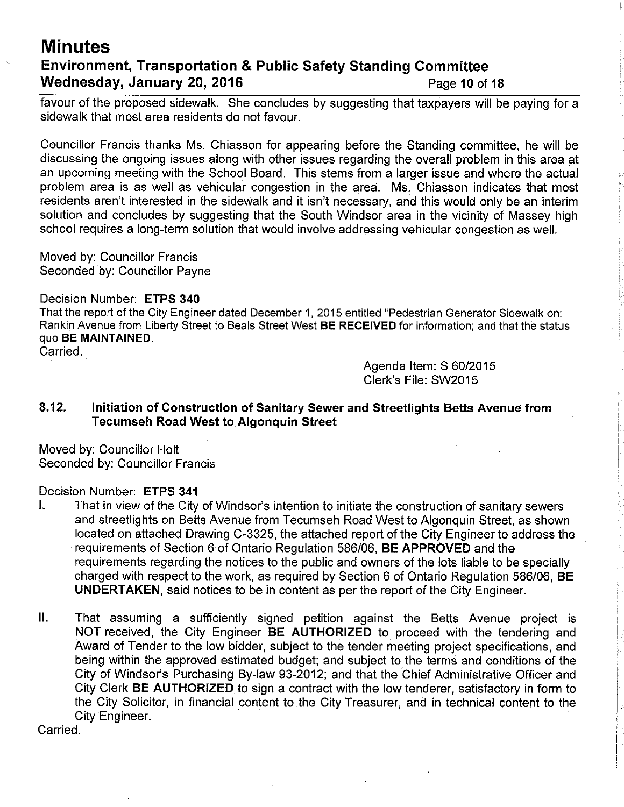# **Minutes** Environment, Transportation & Public Safety Standing Committee Wednesday, January 20, 2016 **Page 10 of 18**

favour of the proposed sidewalk. She concludes by suggesting that taxpayers will be paying for a sidewalk that most area residents do not favour.

Councillor Francis thanks Ms. Chiasson for appearing before the Standing committee, he will be discussing the ongoing issues along with other issues regarding the overall problem in this area at an upcoming meeting with the School Board. This stems from a larger issue and where the actual problem area is as well as vehicular congestion in the area. Ms. Chiasson indicates ihat most residents aren't interested in the sidewalk and it isn't necessary, and this would only be an interim solution and concludes by suggesting that the South Windsor area in the vicinity of Massey high school requires a long-term solution that would involve addressing vehicular congestion as well.

Moved by: Councillor Francis Seconded by: Councillor Payne

#### Decision Number: ETPS 340

That the report of the City Engineer dated December 1, 2015 entitled "Pedestrian Generator Sidewalk on: Rankin Avenue from Liberty Street to Beals Street West BE RECEIVED for information; and that the status quo BE MAINTAINED. Carried.

> Agenda ltem: S 60/2015 Clerk's File: SW2015

## 8,12. lnitiation of Gonstruction of Sanitary Sewer and Streetlights Betts Avenue from Tecumseh Road West to Algonquin Street

Moved by: Councillor Holt Seconded by: Councillor Francis

- Decision Number: ETPS 341<br>I. That in view of the City of Windsor's intention to initiate the construction of sanitary sewers and streetlights on Betts Avenue from Tecumseh Road West to Algonquin Street, as shown located on attached Drawing C-3325, the attached report of the City Engineer to address the requirements of Section 6 of Ontario Regulation 586/06, BE APPROVED and the requirements regarding the notices to the public and owners of the lots liable to be specially charged with respect to the work, as required by Section 6 of Ontario Regulation 586/06, BE UNDERTAKEN, said notices to be in content as per the report of the City Engineer.
- ll. That assuming a sufficiently signed petition against the Betts Avenue project is NOT received, the City Engineer BE AUTHORIZED to proceed with the tendering and Award of Tender to the low bidder, subject to the tender meeting project specifications, and being within the approved estimated budget; and subject to the terms and conditions of the City of Windsor's Purchasing By-law 93-2012; and that the Chief Administrative Officer and City Clerk BE AUTHORIZED to sign a contract with the low tenderer, satisfactory in form to the City Solicitor, in financial content to the City Treasurer, and in technical content to the City Engineer.

Carried.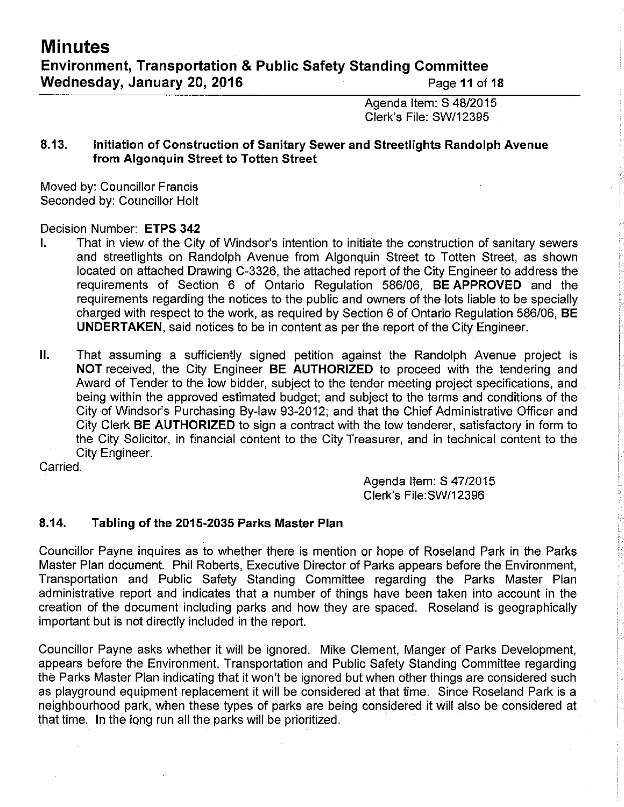Agenda ltem: S 48/2015 Clerk's File: SW/12395

# 8.13. lnitiation of Gonstruction of Sanitary Sewer and Streetlights Randolph Avenue from Algonquin Street to Totten Street

Moved by: Councillor Francis Seconded by: Councillor Holt

- Decision Number: ETPS 342<br>L That in view of the City of Windsor's intention to initiate the construction of sanitary sewers and streetlights on Randolph Avenue from Algonquin Street to Totten Streei, as shown Iocated on attached Drawing C-3326, the attached report of the City Engineer to address the requirements of Section 6 of Ontario Regulation 586/06, BE APPROVED and the requirements regarding the notices to the public and owners of the lots liable to be specially charged with respect to the work, as required by Section 6 of Ontario Regulation 586/06, BE UNDERTAKEN, said notices to be in content as per the report of the City Engineer.
- ll. That assuming a sufficiently signed petition against the Randolph Avenue project is NOT received, the City Engineer BE AUTHORIZED to proceed with the tendering and Award of Tender to the low bidder, subject to the tender meeting project specifications, and being within the approved estimated budget; and subject to the terms and conditions of the City of Windsor's Purchasing By-law 93-2012; and that the Chief Administrative Officer and City Clerk **BE AUTHORIZED** to sign a contract with the low tenderer, satisfactory in form to the City Solicitor, in financial content to the City Treasurer, and in technical content to the City Engineer.

Carried.

Agenda ltem: S 4712015 Clerk's File:SW12396

# 8.14. Tabling of the 2015-2035 Parks Master Plan

Councillor Payne inquires as to whether there is mention or hope of Roseland Park in the Parks Master Plan document. Phil Roberts, Executive Director of Parks appears before the Environment, Transportation and Public Safety Standing Committee regarding the Parks Master Plan administrative report and indicates that a number of things have been taken into account in the creation of the document including parks and how they are spaced. Roseland is geographically important but is not directly included in the report.

Councillor Payne asks whether it will be ignored. Mike Clement, Manger of Parks Development, appears before the Environment, Transportation and Public Safety Standing Committee regarding the Parks Master Plan indicating that it won't be ignored but when other things are considered such as playground equipment replacement it will be considered at that time. Since Roseland Park is a neighbourhood park, when these types of parks are being considered it will also be considered at that time. ln the long run all the parks will be prioritized.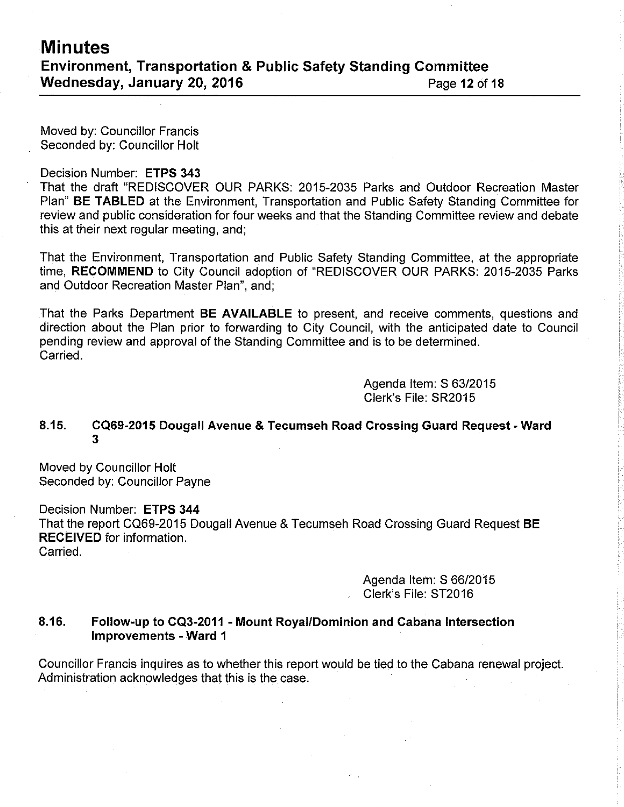Moved by: Councillor Francis Seconded by: Councillor Holt

#### Decision Number: ETPS 343

That the draft "REDISCOVER OUR PARKS: 2015-2035 Parks and Outdoor Recreation Master Plan" BE TABLED at the Environment, Transportation and Public Safety Standing Committee for review and public consideration for four weeks and that the Standing Committee review and debate this at their next regular meeting, and;

That the Environment, Transportation and Public Safety Standing Committee, at the appropriate time, RECOMMEND to City Council adoption of "REDISCOVER OUR PARKS: 2015-2035 Parks and Outdoor Recreation Master Plan", and;

That the Parks Department BE AVAILABLE to present, and receive comments, questions and direction about the Plan prior to forwarding to City Council, with the anticipated date to Council pending review and approval of the Standing Committee and is to be determined. Carried.

> Agenda Item: S 63/2015 Clerk's File: SR2015

#### 8.15. CQ69-2015 Dougall Avenue & Tecumseh Road Crossing Guard Request - Ward 3

Moved by Councillor Holt Seconded by: Councillor Payne

Decision Number: ETPS 344 That the report CQ69-2015 Dougall Avenue & Tecumseh Road Crossing Guard Request BE RECEIVED for information. Carried.

> Agenda ltem: S 66/2015 Clerk's File: ST2016

## 8.16. Follow-up to GQ3-2011 - Mount Royal/Dominion and Cabana lntersection lmprovements - Ward <sup>1</sup>

Councillor Francis inquires as to whether this report would be tied to the Cabana renewal project. Administration acknowledges that this is the case.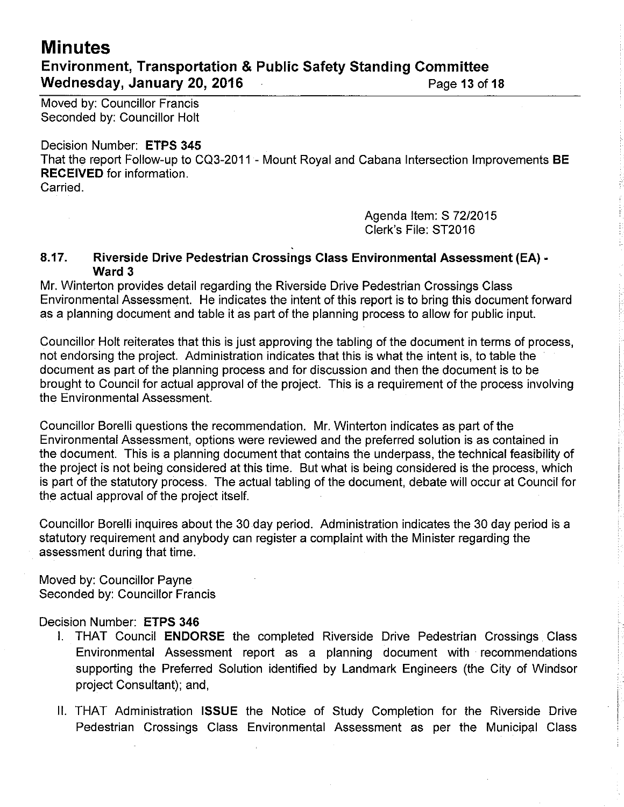# **Minutes** Environment, Transportation & Public Safety Standing Committee Wednesday, January 20, 2016 **Page 13 of 18**

Moved by: Councillor Francis Seconded by: Councillor Holt

Decision Number: ETPS 345 That the report Follow-up to CQ3-2011 - Mount Royal and Cabana lntersection lmprovements BE RECEIVED for information. Carried.

> Agenda Item: S 72/2015 Clerk's File: ST2016

# 8.17. Riverside Drive Pedestrian Crossings Class Environmental Assessment (EA) -Ward 3

Mr. Winterton provides detail regarding the Riverside Drive Pedestrian Crossings Class Environmental Assessment. He indicates the intent of this report is to bring this document forward as a planning document and table it as part of the planning process to allow for public input.

Councillor Holt reiterates that this is just approving the tabling of the document in terms of process, not endorsing the project. Administration indicates that this is what the intent is, to table the document as part of the planning process and for discussion and then the document is to be brought to Council for actual approval of the project. This is a requirement of the process involving the Environmental Assessment.

Councillor Borelli questions the recommendation. Mr. Winterton indicates as part of the Environmental Assessment, options were reviewed and the prefened solution is as contained in the document. This is a planning document that contains the underpass, the technical feasibility of the project is not being considered at this time. But what is being considered is the process, which is part of the statutory process. The actual tabling of the document, debate will occur at Council for the actual approval of the project itself.

Councillor Borelli inquires about the 30 day period. Administration indicates the 30 day period is a statutory requirement and anybody can register a complaint with the Minister regarding the assessment during that time.

Moved by: Councillor Payne Seconded by: Councillor Francis

- Decision Number: ETPS 346<br>I. THAT Council ENDORSE the completed Riverside Drive Pedestrian Crossings Class Environmental Assessment report as a planning document with recommendations supporting the Preferred Solution identified by Landmark Engineers (the City of Windsor project Consultant); and,
	- ll. THAT Administraiion ISSUE the Notice of Study Completion for the Riverside Drive Pedestrian Crossings Class Environmental Assessment as per the Municipal Class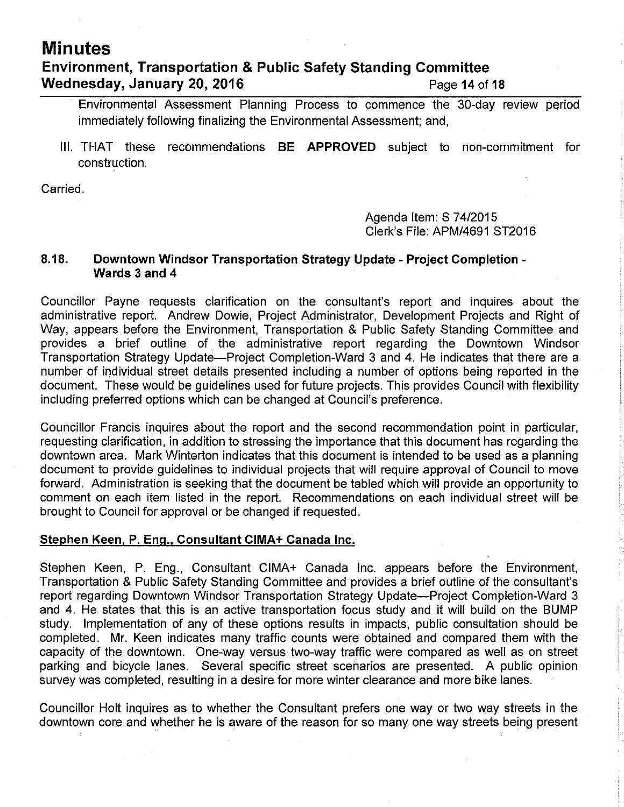# Minutes Environment, Transportation & Public Safety Standing Committee Wednesday, January 20, 2016 **Page 14 of 18** Page 14 of 18

Environmental Assessment Planning Process to commence the 30-day review period immediately following finalizing the Environmental Assessment; and,

lll. THAT these recommendations BE APPROVED subject to non-commitment for construction.

Carried.

Agenda Item: S 74/2015 Clerk's File: APM/4691 ST2016

# 8.18. Downtown Windsor Transportation Strategy Update - Project Completion - Wards 3 and 4

Councillor Payne requests clarification on the consultant's report and inquires about the administrative report. Andrew Dowie, Project Administrator, Development Projects and Right of Way, appears before the Environment, Transportation & Public Safety Standing Committee and provides a brief outline of the administrative report regarding the Downtown Windsor Transportation Strategy Update-Project Completion-Ward 3 and 4. He indicates that there are a number of individual street details presented including a number of options being reported in the document. These would be guidelines used for future projects. This provides Council with flexibility including preferred options which can be changed at Council's preference.

Councillor Francis inquires about the report and the second recommendation point in particular, requesting clarification, in addition to stressing the importance that this document has regarding the downtown area. Mark Winterton indicates that this document is intended to be used as a planning document to provide guidelines to individual projects that will require approval of Council to move fonvard. Administration is seeking that the document be tabled which will provide an opportunity to comment on each item listed in the report. Recommendations on each individual street will be brought to Council for approval or be changed if requested.

# Stephen Keen, P. Enq.. Gonsultant CIMA+ Ganada lnc.

Stephen Keen, P. Eng., Consultant CIMA+ Canada lnc. appears before the Environment, Transportation & Public Safety Standing Committee and provides a brief outline of the consultant's report regarding Downtown Windsor Transportation Strategy Update-Project Completion-Ward 3 and 4. He states that this is an active transportation focus study and it will build on the BUMP study. lmplementation of any of these options results in impacts, public consultation should be completed. Mr. Keen indicates many traffic counts were obtained and compared them with the capacity of the downtown. One-way versus two-way traffic were compared as well as on street parking and bicycle lanes. Several specific street scenarios are presented. A public opinion survey was completed, resulting in a desire for more winter clearance and more bike lanes.

Councillor Holt inquires as to whether the Consultant prefers one way or two way streets in the downtown core and whether he is aware of the reason for so many one way streets being present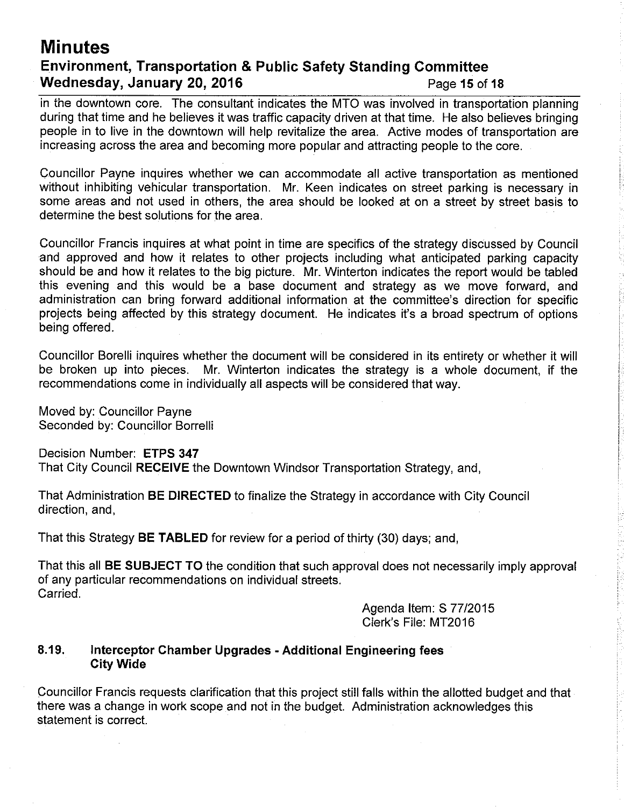# **Minutes** Environment, Transportation & Public Safety Standing Committee Wednesday, January 20, 2016 **Page 15 of 18**

in the downtown core. The consultant indicates the MTO was involved in transportation planning during that time and he believes it was traffic capacity driven at that time. He also believes bringing people in to live in the downtown will help revitalize the area. Active modes of transportation are increasing across the area and becoming more popular and attracting people to the core.

Councillor Payne inquires whether we can accommodate all active transportation as mentioned without inhibiting vehicular transportation. Mr. Keen indicates on street parking is necessary in some areas and not used in others, the area should be looked at on a street by street basis to determine the best solutions for the area.

Councillor Francis inquires at what point in time are specifics of the strategy discussed by Council and approved and how it relates to other projects including what anticipated parking capacity should be and how it relates to the big picture. Mr. Winterton indicates the report would be tabled this evening and this would be a base document and strategy as we move forward, and administration can bring forward additional information at the committee's direction for specific projects being affected by this strategy document. He indicates it's a broad spectrum of options being offered.

Councillor Borelli inquires whether the document will be considered in its entirety or whether it will be broken up into pieces. Mr. Winterton indicates the strategy is a whole document, if the recommendations come in individually all aspects will be considered that way.

Moved by: Councillor Payne Seconded by: Councillor Borrelli

Decision Number: ETPS 347

That City Council RECEIVE the Downtown Windsor Transportation Strategy, and,

That Administration BE DIRECTED to finalize the Strategy in accordance with City Council direction, and,

That this Strategy BE TABLED for review for a period of thirty (30) days; and,

That this all BE SUBJECT TO the condition that such approval does not necessarily imply approval of any particular recommendations on individual streets. Carried.

> Agenda ltem: S 7712015 Clerk's File: MT2016

## 8.19. lnterceptor Chamber Upgrades - Additional Engineering fees City Wide

Councillor Francis requests clarification that this project still falls within the allotted budget and that there was a change in work scope and not in the budget. Administration acknowledges this statement is correct.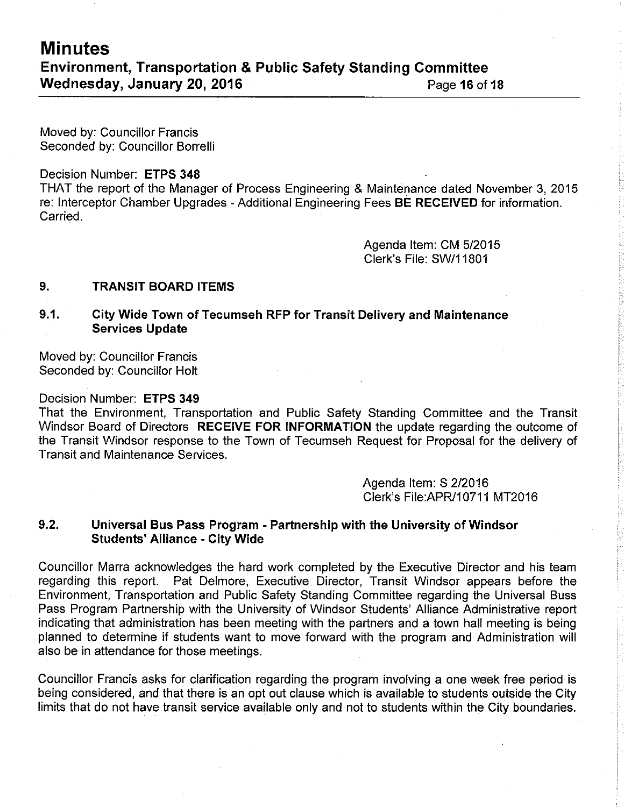Moved by: Councillor Francis Seconded by: Councillor Borrelli

## Decision Number: ETPS 348

THAT the report of the Manager of Process Engineering & Maintenance dated November 3,2015 re: lnterceptor Chamber Upgrades - Additional Engineering Fees BE RECEIVED for information. Carried.

> Agenda ltem: CM 5/2015 Clerk's File: SW/11801

#### 9. TRANSIT BOARD ITEMS

## 9.1. Gity Wide Town of Tecumseh RFP for Transit Delivery and Maintenance Services Update

Moved by: Councillor Francis Seconded by: Councillor Holt

#### Decision Number: ETPS 349

That the Environment, Transportation and Public Safety Standing Committee and the Transit Windsor Board of Directors RECEIVE FOR INFORMATION the update regarding the outcome of the Transit Windsor response to the Town of Tecumseh Request for Proposal for the delivery of Transit and Maintenance Services.

> Agenda Item: S 2/2016 Clerk's File: APR/10711 MT2016

# 9.2. Universal Bus Pass Program - Partnership with the University of Windsor Students'Alliance - City Wide

Councillor Marra acknowledges the hard work completed by the Executive Director and his team regarding this report. Pat Delmore, Executive Director, Transit Windsor appears before the Environment, Transportation and Public Safety Standing Committee regarding the Universal Buss Pass Program Partnership with the University of Windsor Students' Alliance Administrative report indicating that administration has been meeting with the partners and a town hall meeting is being planned to determine if students want to move forward with the program and Administration will also be in attendance for those meetings.

Councillor Francis asks for clarification regarding the program involving a one week free period is being considered, and that there is an opt out clause which is available to students outside the City limits that do not have transit service available only and not to students within the City boundaries.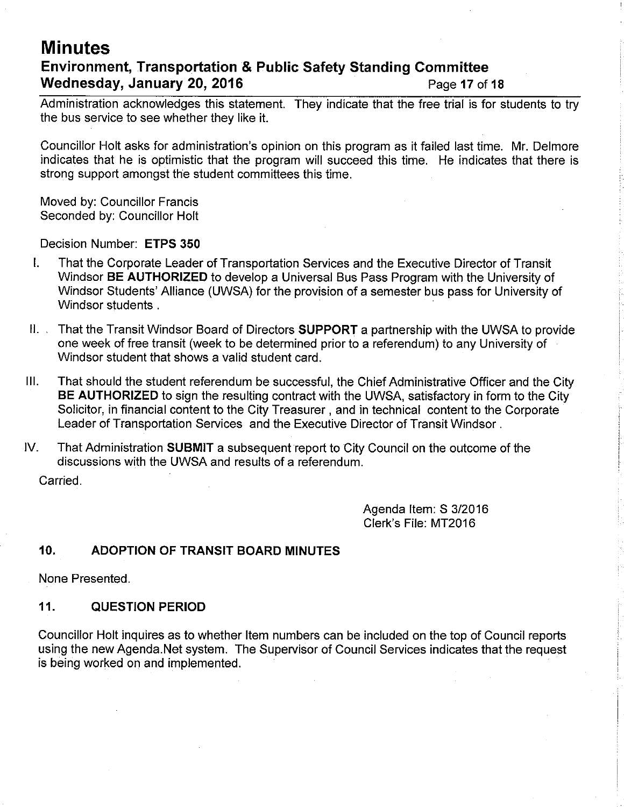# Minutes Environment, Transportation & Public Safety Standing Gommittee Wednesday, January 20, 2016 **Page 17 of 18**

Administration acknowledges this statement. They indicate that the free trial is for students to try the bus service to see whether they like it.

Councillor Holi asks for administration's opinion on this program as it failed last time. Mr. Delmore indicates that he is optimistic that the program will succeed this time. He indicates that there is strong support amongst the student committees this time.

Moved by: Councillor Francis Seconded by: Councillor Holt

Decision Number: ETPS 350

- l. That the Corporate Leader of Transportation Services and the Executive Director of Transit Windsor BE AUTHORIZED to develop a Universal Bus Pass Program with the University of Windsor Students' Alliance (UWSA) for the provision of a semester bus pass for University of Windsor students .
- II.  $\sqrt{ }$  That the Transit Windsor Board of Directors **SUPPORT** a partnership with the UWSA to provide one week of free transit (week to be determined prior to a referendum) to any University of Windsor student that shows a valid student card.
- lll. That should the student referendum be successful, the Chief Administrative Officer and the City BE AUTHORIZED to sign the resulting contract with the UWSA, satisfactory in form to the City Solicitor, in financial content to the City Treasurer , and in technical content to the Corporate Leader of Transportation Services and the Executive Director of Transit Windsor .
- lV. That Administration SUBMIT a subsequent report to City Council on the outcome of the discussions with the UWSA and results of a referendum.

Carried.

Agenda ltem: S 3/2016 Clerk's File: MT2016

# 10, ADOPTION OF TRANSIT BOARD MINUTES

None Presented.

# 11, QUESTION PERIOD

Councillor Holt inquires as to whether ltem numbers can be included on the top of Council reports using the new Agenda.Net system. The Supervisor of Council Services indicates that the request is being worked on and implemented.